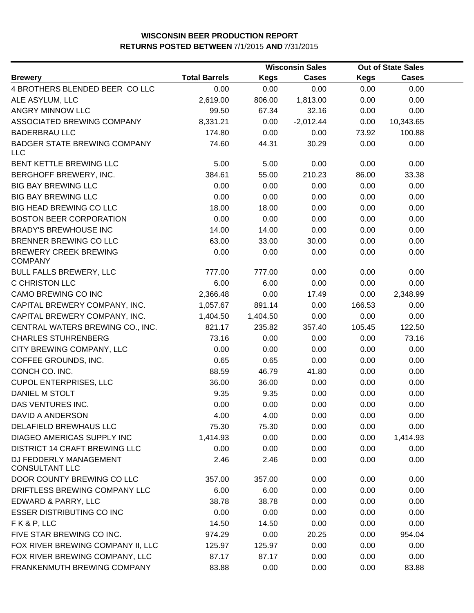|                                                   |                      |             | <b>Wisconsin Sales</b> | <b>Out of State Sales</b> |              |  |
|---------------------------------------------------|----------------------|-------------|------------------------|---------------------------|--------------|--|
| <b>Brewery</b>                                    | <b>Total Barrels</b> | <b>Kegs</b> | <b>Cases</b>           | <b>Kegs</b>               | <b>Cases</b> |  |
| 4 BROTHERS BLENDED BEER COLLC                     | 0.00                 | 0.00        | 0.00                   | 0.00                      | 0.00         |  |
| ALE ASYLUM, LLC                                   | 2,619.00             | 806.00      | 1,813.00               | 0.00                      | 0.00         |  |
| ANGRY MINNOW LLC                                  | 99.50                | 67.34       | 32.16                  | 0.00                      | 0.00         |  |
| ASSOCIATED BREWING COMPANY                        | 8,331.21             | 0.00        | $-2,012.44$            | 0.00                      | 10,343.65    |  |
| <b>BADERBRAU LLC</b>                              | 174.80               | 0.00        | 0.00                   | 73.92                     | 100.88       |  |
| <b>BADGER STATE BREWING COMPANY</b><br><b>LLC</b> | 74.60                | 44.31       | 30.29                  | 0.00                      | 0.00         |  |
| BENT KETTLE BREWING LLC                           | 5.00                 | 5.00        | 0.00                   | 0.00                      | 0.00         |  |
| BERGHOFF BREWERY, INC.                            | 384.61               | 55.00       | 210.23                 | 86.00                     | 33.38        |  |
| <b>BIG BAY BREWING LLC</b>                        | 0.00                 | 0.00        | 0.00                   | 0.00                      | 0.00         |  |
| <b>BIG BAY BREWING LLC</b>                        | 0.00                 | 0.00        | 0.00                   | 0.00                      | 0.00         |  |
| <b>BIG HEAD BREWING CO LLC</b>                    | 18.00                | 18.00       | 0.00                   | 0.00                      | 0.00         |  |
| <b>BOSTON BEER CORPORATION</b>                    | 0.00                 | 0.00        | 0.00                   | 0.00                      | 0.00         |  |
| <b>BRADY'S BREWHOUSE INC</b>                      | 14.00                | 14.00       | 0.00                   | 0.00                      | 0.00         |  |
| <b>BRENNER BREWING CO LLC</b>                     | 63.00                | 33.00       | 30.00                  | 0.00                      | 0.00         |  |
| <b>BREWERY CREEK BREWING</b><br><b>COMPANY</b>    | 0.00                 | 0.00        | 0.00                   | 0.00                      | 0.00         |  |
| <b>BULL FALLS BREWERY, LLC</b>                    | 777.00               | 777.00      | 0.00                   | 0.00                      | 0.00         |  |
| C CHRISTON LLC                                    | 6.00                 | 6.00        | 0.00                   | 0.00                      | 0.00         |  |
| CAMO BREWING CO INC                               | 2,366.48             | 0.00        | 17.49                  | 0.00                      | 2,348.99     |  |
| CAPITAL BREWERY COMPANY, INC.                     | 1,057.67             | 891.14      | 0.00                   | 166.53                    | 0.00         |  |
| CAPITAL BREWERY COMPANY, INC.                     | 1,404.50             | 1,404.50    | 0.00                   | 0.00                      | 0.00         |  |
| CENTRAL WATERS BREWING CO., INC.                  | 821.17               | 235.82      | 357.40                 | 105.45                    | 122.50       |  |
| <b>CHARLES STUHRENBERG</b>                        | 73.16                | 0.00        | 0.00                   | 0.00                      | 73.16        |  |
| CITY BREWING COMPANY, LLC                         | 0.00                 | 0.00        | 0.00                   | 0.00                      | 0.00         |  |
| COFFEE GROUNDS, INC.                              | 0.65                 | 0.65        | 0.00                   | 0.00                      | 0.00         |  |
| CONCH CO. INC.                                    | 88.59                | 46.79       | 41.80                  | 0.00                      | 0.00         |  |
| <b>CUPOL ENTERPRISES, LLC</b>                     | 36.00                | 36.00       | 0.00                   | 0.00                      | 0.00         |  |
| DANIEL M STOLT                                    | 9.35                 | 9.35        | 0.00                   | 0.00                      | 0.00         |  |
| DAS VENTURES INC.                                 | 0.00                 | 0.00        | 0.00                   | 0.00                      | 0.00         |  |
| DAVID A ANDERSON                                  | 4.00                 | 4.00        | 0.00                   | 0.00                      | 0.00         |  |
| DELAFIELD BREWHAUS LLC                            | 75.30                | 75.30       | 0.00                   | 0.00                      | 0.00         |  |
| DIAGEO AMERICAS SUPPLY INC                        | 1,414.93             | 0.00        | 0.00                   | 0.00                      | 1,414.93     |  |
| <b>DISTRICT 14 CRAFT BREWING LLC</b>              | 0.00                 | 0.00        | 0.00                   | 0.00                      | 0.00         |  |
| DJ FEDDERLY MANAGEMENT<br><b>CONSULTANT LLC</b>   | 2.46                 | 2.46        | 0.00                   | 0.00                      | 0.00         |  |
| DOOR COUNTY BREWING CO LLC                        | 357.00               | 357.00      | 0.00                   | 0.00                      | 0.00         |  |
| DRIFTLESS BREWING COMPANY LLC                     | 6.00                 | 6.00        | 0.00                   | 0.00                      | 0.00         |  |
| EDWARD & PARRY, LLC                               | 38.78                | 38.78       | 0.00                   | 0.00                      | 0.00         |  |
| <b>ESSER DISTRIBUTING CO INC</b>                  | 0.00                 | 0.00        | 0.00                   | 0.00                      | 0.00         |  |
| FK&P, LLC                                         | 14.50                | 14.50       | 0.00                   | 0.00                      | 0.00         |  |
| FIVE STAR BREWING CO INC.                         | 974.29               | 0.00        | 20.25                  | 0.00                      | 954.04       |  |
| FOX RIVER BREWING COMPANY II, LLC                 | 125.97               | 125.97      | 0.00                   | 0.00                      | 0.00         |  |
| FOX RIVER BREWING COMPANY, LLC                    | 87.17                | 87.17       | 0.00                   | 0.00                      | 0.00         |  |
| FRANKENMUTH BREWING COMPANY                       | 83.88                | 0.00        | 0.00                   | 0.00                      | 83.88        |  |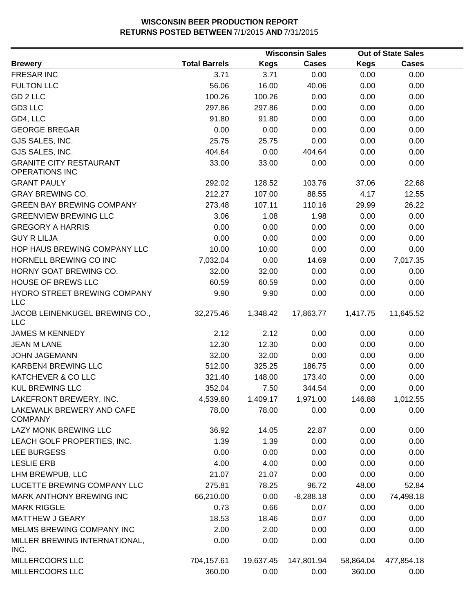|                                                         |                      |             | <b>Wisconsin Sales</b> |             | <b>Out of State Sales</b> |  |
|---------------------------------------------------------|----------------------|-------------|------------------------|-------------|---------------------------|--|
| <b>Brewery</b>                                          | <b>Total Barrels</b> | <b>Kegs</b> | <b>Cases</b>           | <b>Kegs</b> | <b>Cases</b>              |  |
| <b>FRESAR INC</b>                                       | 3.71                 | 3.71        | 0.00                   | 0.00        | 0.00                      |  |
| <b>FULTON LLC</b>                                       | 56.06                | 16.00       | 40.06                  | 0.00        | 0.00                      |  |
| GD <sub>2</sub> LLC                                     | 100.26               | 100.26      | 0.00                   | 0.00        | 0.00                      |  |
| GD3 LLC                                                 | 297.86               | 297.86      | 0.00                   | 0.00        | 0.00                      |  |
| GD4, LLC                                                | 91.80                | 91.80       | 0.00                   | 0.00        | 0.00                      |  |
| <b>GEORGE BREGAR</b>                                    | 0.00                 | 0.00        | 0.00                   | 0.00        | 0.00                      |  |
| GJS SALES, INC.                                         | 25.75                | 25.75       | 0.00                   | 0.00        | 0.00                      |  |
| GJS SALES, INC.                                         | 404.64               | 0.00        | 404.64                 | 0.00        | 0.00                      |  |
| <b>GRANITE CITY RESTAURANT</b><br><b>OPERATIONS INC</b> | 33.00                | 33.00       | 0.00                   | 0.00        | 0.00                      |  |
| <b>GRANT PAULY</b>                                      | 292.02               | 128.52      | 103.76                 | 37.06       | 22.68                     |  |
| <b>GRAY BREWING CO.</b>                                 | 212.27               | 107.00      | 88.55                  | 4.17        | 12.55                     |  |
| <b>GREEN BAY BREWING COMPANY</b>                        | 273.48               | 107.11      | 110.16                 | 29.99       | 26.22                     |  |
| <b>GREENVIEW BREWING LLC</b>                            | 3.06                 | 1.08        | 1.98                   | 0.00        | 0.00                      |  |
| <b>GREGORY A HARRIS</b>                                 | 0.00                 | 0.00        | 0.00                   | 0.00        | 0.00                      |  |
| <b>GUY R LILJA</b>                                      | 0.00                 | 0.00        | 0.00                   | 0.00        | 0.00                      |  |
| HOP HAUS BREWING COMPANY LLC                            | 10.00                | 10.00       | 0.00                   | 0.00        | 0.00                      |  |
| HORNELL BREWING CO INC                                  | 7,032.04             | 0.00        | 14.69                  | 0.00        | 7,017.35                  |  |
| HORNY GOAT BREWING CO.                                  | 32.00                | 32.00       | 0.00                   | 0.00        | 0.00                      |  |
| HOUSE OF BREWS LLC                                      | 60.59                | 60.59       | 0.00                   | 0.00        | 0.00                      |  |
| HYDRO STREET BREWING COMPANY<br><b>LLC</b>              | 9.90                 | 9.90        | 0.00                   | 0.00        | 0.00                      |  |
| JACOB LEINENKUGEL BREWING CO.,<br><b>LLC</b>            | 32,275.46            | 1,348.42    | 17,863.77              | 1,417.75    | 11,645.52                 |  |
| <b>JAMES M KENNEDY</b>                                  | 2.12                 | 2.12        | 0.00                   | 0.00        | 0.00                      |  |
| <b>JEAN M LANE</b>                                      | 12.30                | 12.30       | 0.00                   | 0.00        | 0.00                      |  |
| <b>JOHN JAGEMANN</b>                                    | 32.00                | 32.00       | 0.00                   | 0.00        | 0.00                      |  |
| KARBEN4 BREWING LLC                                     | 512.00               | 325.25      | 186.75                 | 0.00        | 0.00                      |  |
| KATCHEVER & CO LLC                                      | 321.40               | 148.00      | 173.40                 | 0.00        | 0.00                      |  |
| <b>KUL BREWING LLC</b>                                  | 352.04               | 7.50        | 344.54                 | 0.00        | 0.00                      |  |
| LAKEFRONT BREWERY, INC.                                 | 4,539.60             | 1,409.17    | 1,971.00               | 146.88      | 1,012.55                  |  |
| LAKEWALK BREWERY AND CAFE<br><b>COMPANY</b>             | 78.00                | 78.00       | 0.00                   | 0.00        | 0.00                      |  |
| LAZY MONK BREWING LLC                                   | 36.92                | 14.05       | 22.87                  | 0.00        | 0.00                      |  |
| LEACH GOLF PROPERTIES, INC.                             | 1.39                 | 1.39        | 0.00                   | 0.00        | 0.00                      |  |
| <b>LEE BURGESS</b>                                      | 0.00                 | 0.00        | 0.00                   | 0.00        | 0.00                      |  |
| <b>LESLIE ERB</b>                                       | 4.00                 | 4.00        | 0.00                   | 0.00        | 0.00                      |  |
| LHM BREWPUB, LLC                                        | 21.07                | 21.07       | 0.00                   | 0.00        | 0.00                      |  |
| LUCETTE BREWING COMPANY LLC                             | 275.81               | 78.25       | 96.72                  | 48.00       | 52.84                     |  |
| MARK ANTHONY BREWING INC                                | 66,210.00            | 0.00        | $-8,288.18$            | 0.00        | 74,498.18                 |  |
| <b>MARK RIGGLE</b>                                      | 0.73                 | 0.66        | 0.07                   | 0.00        | 0.00                      |  |
| <b>MATTHEW J GEARY</b>                                  | 18.53                | 18.46       | 0.07                   | 0.00        | 0.00                      |  |
| MELMS BREWING COMPANY INC                               | 2.00                 | 2.00        | 0.00                   | 0.00        | 0.00                      |  |
| MILLER BREWING INTERNATIONAL,<br>INC.                   | 0.00                 | 0.00        | 0.00                   | 0.00        | 0.00                      |  |
| MILLERCOORS LLC                                         | 704,157.61           | 19,637.45   | 147,801.94             | 58,864.04   | 477,854.18                |  |
| MILLERCOORS LLC                                         | 360.00               | 0.00        | 0.00                   | 360.00      | 0.00                      |  |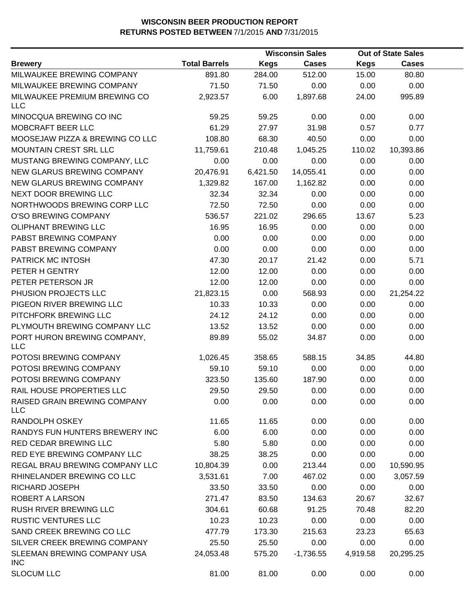|                                            |                      |             | <b>Wisconsin Sales</b> |             | <b>Out of State Sales</b> |  |
|--------------------------------------------|----------------------|-------------|------------------------|-------------|---------------------------|--|
| <b>Brewery</b>                             | <b>Total Barrels</b> | <b>Kegs</b> | <b>Cases</b>           | <b>Kegs</b> | <b>Cases</b>              |  |
| MILWAUKEE BREWING COMPANY                  | 891.80               | 284.00      | 512.00                 | 15.00       | 80.80                     |  |
| MILWAUKEE BREWING COMPANY                  | 71.50                | 71.50       | 0.00                   | 0.00        | 0.00                      |  |
| MILWAUKEE PREMIUM BREWING CO<br><b>LLC</b> | 2,923.57             | 6.00        | 1,897.68               | 24.00       | 995.89                    |  |
| MINOCQUA BREWING CO INC                    | 59.25                | 59.25       | 0.00                   | 0.00        | 0.00                      |  |
| MOBCRAFT BEER LLC                          | 61.29                | 27.97       | 31.98                  | 0.57        | 0.77                      |  |
| MOOSEJAW PIZZA & BREWING CO LLC            | 108.80               | 68.30       | 40.50                  | 0.00        | 0.00                      |  |
| MOUNTAIN CREST SRL LLC                     | 11,759.61            | 210.48      | 1,045.25               | 110.02      | 10,393.86                 |  |
| MUSTANG BREWING COMPANY, LLC               | 0.00                 | 0.00        | 0.00                   | 0.00        | 0.00                      |  |
| NEW GLARUS BREWING COMPANY                 | 20,476.91            | 6,421.50    | 14,055.41              | 0.00        | 0.00                      |  |
| NEW GLARUS BREWING COMPANY                 | 1,329.82             | 167.00      | 1,162.82               | 0.00        | 0.00                      |  |
| NEXT DOOR BREWING LLC                      | 32.34                | 32.34       | 0.00                   | 0.00        | 0.00                      |  |
| NORTHWOODS BREWING CORP LLC                | 72.50                | 72.50       | 0.00                   | 0.00        | 0.00                      |  |
| O'SO BREWING COMPANY                       | 536.57               | 221.02      | 296.65                 | 13.67       | 5.23                      |  |
| <b>OLIPHANT BREWING LLC</b>                | 16.95                | 16.95       | 0.00                   | 0.00        | 0.00                      |  |
| PABST BREWING COMPANY                      | 0.00                 | 0.00        | 0.00                   | 0.00        | 0.00                      |  |
| PABST BREWING COMPANY                      | 0.00                 | 0.00        | 0.00                   | 0.00        | 0.00                      |  |
| PATRICK MC INTOSH                          | 47.30                | 20.17       | 21.42                  | 0.00        | 5.71                      |  |
| PETER H GENTRY                             | 12.00                | 12.00       | 0.00                   | 0.00        | 0.00                      |  |
| PETER PETERSON JR                          | 12.00                | 12.00       | 0.00                   | 0.00        | 0.00                      |  |
| PHUSION PROJECTS LLC                       | 21,823.15            | 0.00        | 568.93                 | 0.00        | 21,254.22                 |  |
| PIGEON RIVER BREWING LLC                   | 10.33                | 10.33       | 0.00                   | 0.00        | 0.00                      |  |
| PITCHFORK BREWING LLC                      | 24.12                | 24.12       | 0.00                   | 0.00        | 0.00                      |  |
| PLYMOUTH BREWING COMPANY LLC               | 13.52                | 13.52       | 0.00                   | 0.00        | 0.00                      |  |
| PORT HURON BREWING COMPANY,<br><b>LLC</b>  | 89.89                | 55.02       | 34.87                  | 0.00        | 0.00                      |  |
| POTOSI BREWING COMPANY                     | 1,026.45             | 358.65      | 588.15                 | 34.85       | 44.80                     |  |
| POTOSI BREWING COMPANY                     | 59.10                | 59.10       | 0.00                   | 0.00        | 0.00                      |  |
| POTOSI BREWING COMPANY                     | 323.50               | 135.60      | 187.90                 | 0.00        | 0.00                      |  |
| RAIL HOUSE PROPERTIES LLC                  | 29.50                | 29.50       | 0.00                   | 0.00        | 0.00                      |  |
| RAISED GRAIN BREWING COMPANY<br><b>LLC</b> | 0.00                 | 0.00        | 0.00                   | 0.00        | 0.00                      |  |
| RANDOLPH OSKEY                             | 11.65                | 11.65       | 0.00                   | 0.00        | 0.00                      |  |
| RANDYS FUN HUNTERS BREWERY INC             | 6.00                 | 6.00        | 0.00                   | 0.00        | 0.00                      |  |
| RED CEDAR BREWING LLC                      | 5.80                 | 5.80        | 0.00                   | 0.00        | 0.00                      |  |
| RED EYE BREWING COMPANY LLC                | 38.25                | 38.25       | 0.00                   | 0.00        | 0.00                      |  |
| REGAL BRAU BREWING COMPANY LLC             | 10,804.39            | 0.00        | 213.44                 | 0.00        | 10,590.95                 |  |
| RHINELANDER BREWING CO LLC                 | 3,531.61             | 7.00        | 467.02                 | 0.00        | 3,057.59                  |  |
| RICHARD JOSEPH                             | 33.50                | 33.50       | 0.00                   | 0.00        | 0.00                      |  |
| ROBERT A LARSON                            | 271.47               | 83.50       | 134.63                 | 20.67       | 32.67                     |  |
| RUSH RIVER BREWING LLC                     | 304.61               | 60.68       | 91.25                  | 70.48       | 82.20                     |  |
| <b>RUSTIC VENTURES LLC</b>                 | 10.23                | 10.23       | 0.00                   | 0.00        | 0.00                      |  |
| SAND CREEK BREWING CO LLC                  | 477.79               | 173.30      | 215.63                 | 23.23       | 65.63                     |  |
| SILVER CREEK BREWING COMPANY               | 25.50                | 25.50       | 0.00                   | 0.00        | 0.00                      |  |
| SLEEMAN BREWING COMPANY USA<br><b>INC</b>  | 24,053.48            | 575.20      | $-1,736.55$            | 4,919.58    | 20,295.25                 |  |
| <b>SLOCUM LLC</b>                          | 81.00                | 81.00       | 0.00                   | 0.00        | 0.00                      |  |